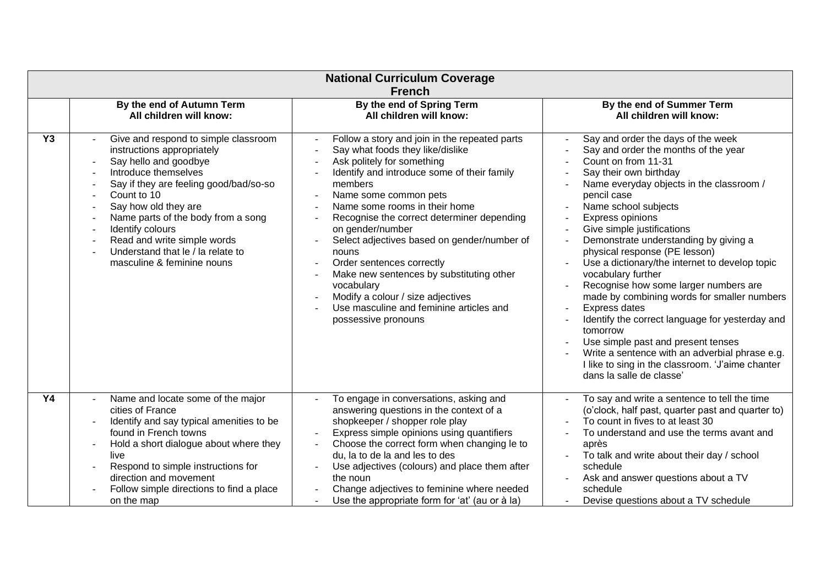| <b>National Curriculum Coverage</b><br><b>French</b> |                                                                                                                                                                                                                                                                                                                                                                  |                                                                                                                                                                                                                                                                                                                                                                                                                                                                                                                                                             |                                                                                                                                                                                                                                                                                                                                                                                                                                                                                                                                                                                                                                                                                                                                                                    |  |  |  |
|------------------------------------------------------|------------------------------------------------------------------------------------------------------------------------------------------------------------------------------------------------------------------------------------------------------------------------------------------------------------------------------------------------------------------|-------------------------------------------------------------------------------------------------------------------------------------------------------------------------------------------------------------------------------------------------------------------------------------------------------------------------------------------------------------------------------------------------------------------------------------------------------------------------------------------------------------------------------------------------------------|--------------------------------------------------------------------------------------------------------------------------------------------------------------------------------------------------------------------------------------------------------------------------------------------------------------------------------------------------------------------------------------------------------------------------------------------------------------------------------------------------------------------------------------------------------------------------------------------------------------------------------------------------------------------------------------------------------------------------------------------------------------------|--|--|--|
|                                                      | By the end of Autumn Term                                                                                                                                                                                                                                                                                                                                        | By the end of Spring Term                                                                                                                                                                                                                                                                                                                                                                                                                                                                                                                                   | By the end of Summer Term                                                                                                                                                                                                                                                                                                                                                                                                                                                                                                                                                                                                                                                                                                                                          |  |  |  |
|                                                      | All children will know:                                                                                                                                                                                                                                                                                                                                          | All children will know:                                                                                                                                                                                                                                                                                                                                                                                                                                                                                                                                     | All children will know:                                                                                                                                                                                                                                                                                                                                                                                                                                                                                                                                                                                                                                                                                                                                            |  |  |  |
| <b>Y3</b>                                            | Give and respond to simple classroom<br>instructions appropriately<br>Say hello and goodbye<br>Introduce themselves<br>Say if they are feeling good/bad/so-so<br>Count to 10<br>Say how old they are<br>Name parts of the body from a song<br>Identify colours<br>Read and write simple words<br>Understand that le / la relate to<br>masculine & feminine nouns | Follow a story and join in the repeated parts<br>Say what foods they like/dislike<br>Ask politely for something<br>Identify and introduce some of their family<br>members<br>Name some common pets<br>Name some rooms in their home<br>Recognise the correct determiner depending<br>on gender/number<br>Select adjectives based on gender/number of<br>nouns<br>Order sentences correctly<br>Make new sentences by substituting other<br>vocabulary<br>Modify a colour / size adjectives<br>Use masculine and feminine articles and<br>possessive pronouns | Say and order the days of the week<br>Say and order the months of the year<br>Count on from 11-31<br>Say their own birthday<br>Name everyday objects in the classroom /<br>pencil case<br>Name school subjects<br>Express opinions<br>Give simple justifications<br>Demonstrate understanding by giving a<br>physical response (PE lesson)<br>Use a dictionary/the internet to develop topic<br>vocabulary further<br>Recognise how some larger numbers are<br>made by combining words for smaller numbers<br>Express dates<br>Identify the correct language for yesterday and<br>tomorrow<br>Use simple past and present tenses<br>Write a sentence with an adverbial phrase e.g.<br>I like to sing in the classroom. 'J'aime chanter<br>dans la salle de classe' |  |  |  |
| <b>Y4</b>                                            | Name and locate some of the major                                                                                                                                                                                                                                                                                                                                | To engage in conversations, asking and                                                                                                                                                                                                                                                                                                                                                                                                                                                                                                                      | To say and write a sentence to tell the time                                                                                                                                                                                                                                                                                                                                                                                                                                                                                                                                                                                                                                                                                                                       |  |  |  |
|                                                      | cities of France                                                                                                                                                                                                                                                                                                                                                 | answering questions in the context of a                                                                                                                                                                                                                                                                                                                                                                                                                                                                                                                     | (o'clock, half past, quarter past and quarter to)                                                                                                                                                                                                                                                                                                                                                                                                                                                                                                                                                                                                                                                                                                                  |  |  |  |
|                                                      | Identify and say typical amenities to be                                                                                                                                                                                                                                                                                                                         | shopkeeper / shopper role play                                                                                                                                                                                                                                                                                                                                                                                                                                                                                                                              | To count in fives to at least 30                                                                                                                                                                                                                                                                                                                                                                                                                                                                                                                                                                                                                                                                                                                                   |  |  |  |
|                                                      | found in French towns                                                                                                                                                                                                                                                                                                                                            | Express simple opinions using quantifiers                                                                                                                                                                                                                                                                                                                                                                                                                                                                                                                   | To understand and use the terms avant and                                                                                                                                                                                                                                                                                                                                                                                                                                                                                                                                                                                                                                                                                                                          |  |  |  |
|                                                      | Hold a short dialogue about where they                                                                                                                                                                                                                                                                                                                           | Choose the correct form when changing le to                                                                                                                                                                                                                                                                                                                                                                                                                                                                                                                 | après                                                                                                                                                                                                                                                                                                                                                                                                                                                                                                                                                                                                                                                                                                                                                              |  |  |  |
|                                                      | live                                                                                                                                                                                                                                                                                                                                                             | du, la to de la and les to des                                                                                                                                                                                                                                                                                                                                                                                                                                                                                                                              | To talk and write about their day / school                                                                                                                                                                                                                                                                                                                                                                                                                                                                                                                                                                                                                                                                                                                         |  |  |  |
|                                                      | Respond to simple instructions for                                                                                                                                                                                                                                                                                                                               | Use adjectives (colours) and place them after                                                                                                                                                                                                                                                                                                                                                                                                                                                                                                               | schedule                                                                                                                                                                                                                                                                                                                                                                                                                                                                                                                                                                                                                                                                                                                                                           |  |  |  |
|                                                      | direction and movement                                                                                                                                                                                                                                                                                                                                           | the noun                                                                                                                                                                                                                                                                                                                                                                                                                                                                                                                                                    | Ask and answer questions about a TV                                                                                                                                                                                                                                                                                                                                                                                                                                                                                                                                                                                                                                                                                                                                |  |  |  |
|                                                      | Follow simple directions to find a place                                                                                                                                                                                                                                                                                                                         | Change adjectives to feminine where needed                                                                                                                                                                                                                                                                                                                                                                                                                                                                                                                  | schedule                                                                                                                                                                                                                                                                                                                                                                                                                                                                                                                                                                                                                                                                                                                                                           |  |  |  |
|                                                      | on the map                                                                                                                                                                                                                                                                                                                                                       | Use the appropriate form for 'at' (au or à la)                                                                                                                                                                                                                                                                                                                                                                                                                                                                                                              | Devise questions about a TV schedule                                                                                                                                                                                                                                                                                                                                                                                                                                                                                                                                                                                                                                                                                                                               |  |  |  |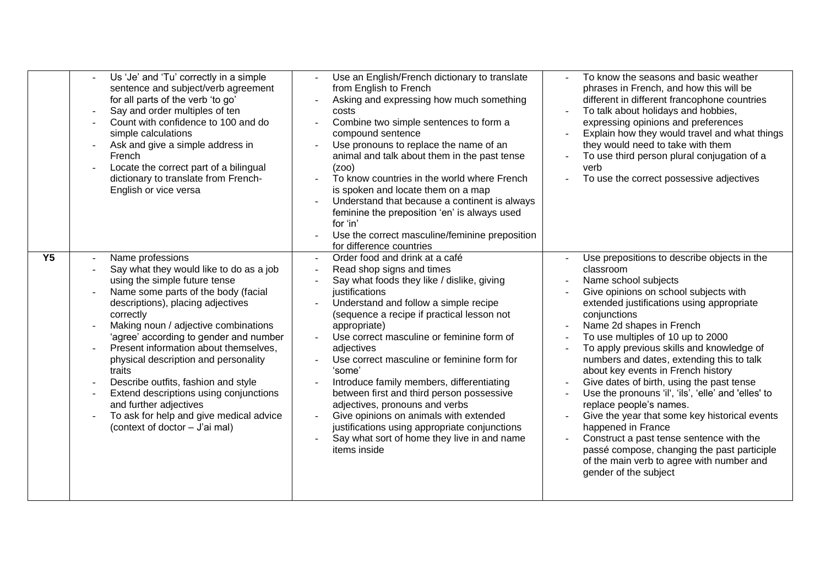|                | Us 'Je' and 'Tu' correctly in a simple<br>sentence and subject/verb agreement<br>for all parts of the verb 'to go'<br>Say and order multiples of ten<br>Count with confidence to 100 and do<br>simple calculations<br>Ask and give a simple address in<br>French<br>Locate the correct part of a bilingual<br>dictionary to translate from French-<br>English or vice versa                                                                                                                                                                                | Use an English/French dictionary to translate<br>from English to French<br>Asking and expressing how much something<br>costs<br>Combine two simple sentences to form a<br>compound sentence<br>Use pronouns to replace the name of an<br>animal and talk about them in the past tense<br>(200)<br>To know countries in the world where French<br>is spoken and locate them on a map<br>Understand that because a continent is always<br>feminine the preposition 'en' is always used<br>for 'in'<br>Use the correct masculine/feminine preposition<br>for difference countries                                                              | To know the seasons and basic weather<br>phrases in French, and how this will be<br>different in different francophone countries<br>To talk about holidays and hobbies,<br>expressing opinions and preferences<br>Explain how they would travel and what things<br>$\omega$<br>they would need to take with them<br>To use third person plural conjugation of a<br>verb<br>To use the correct possessive adjectives                                                                                                                                                                                                                                                                                                                                            |
|----------------|------------------------------------------------------------------------------------------------------------------------------------------------------------------------------------------------------------------------------------------------------------------------------------------------------------------------------------------------------------------------------------------------------------------------------------------------------------------------------------------------------------------------------------------------------------|---------------------------------------------------------------------------------------------------------------------------------------------------------------------------------------------------------------------------------------------------------------------------------------------------------------------------------------------------------------------------------------------------------------------------------------------------------------------------------------------------------------------------------------------------------------------------------------------------------------------------------------------|----------------------------------------------------------------------------------------------------------------------------------------------------------------------------------------------------------------------------------------------------------------------------------------------------------------------------------------------------------------------------------------------------------------------------------------------------------------------------------------------------------------------------------------------------------------------------------------------------------------------------------------------------------------------------------------------------------------------------------------------------------------|
| Y <sub>5</sub> | Name professions<br>Say what they would like to do as a job<br>using the simple future tense<br>Name some parts of the body (facial<br>descriptions), placing adjectives<br>correctly<br>Making noun / adjective combinations<br>'agree' according to gender and number<br>Present information about themselves,<br>physical description and personality<br>traits<br>Describe outfits, fashion and style<br>Extend descriptions using conjunctions<br>and further adjectives<br>To ask for help and give medical advice<br>(context of doctor - J'ai mal) | Order food and drink at a café<br>Read shop signs and times<br>Say what foods they like / dislike, giving<br>justifications<br>Understand and follow a simple recipe<br>(sequence a recipe if practical lesson not<br>appropriate)<br>Use correct masculine or feminine form of<br>adjectives<br>Use correct masculine or feminine form for<br>'some'<br>Introduce family members, differentiating<br>between first and third person possessive<br>adjectives, pronouns and verbs<br>Give opinions on animals with extended<br>justifications using appropriate conjunctions<br>Say what sort of home they live in and name<br>items inside | Use prepositions to describe objects in the<br>classroom<br>Name school subjects<br>Give opinions on school subjects with<br>extended justifications using appropriate<br>conjunctions<br>Name 2d shapes in French<br>To use multiples of 10 up to 2000<br>To apply previous skills and knowledge of<br>numbers and dates, extending this to talk<br>about key events in French history<br>Give dates of birth, using the past tense<br>Use the pronouns 'il', 'ils', 'elle' and 'elles' to<br>replace people's names.<br>Give the year that some key historical events<br>happened in France<br>Construct a past tense sentence with the<br>passé compose, changing the past participle<br>of the main verb to agree with number and<br>gender of the subject |